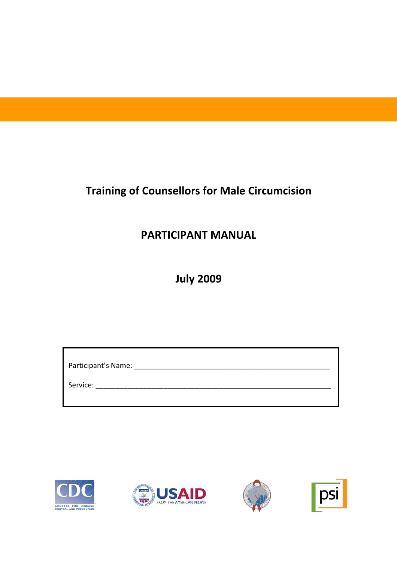# **Training of Counsellors for Male Circumcision**

# **PARTICIPANT MANUAL**

**July 2009**

| Participant's Name: |  |  |
|---------------------|--|--|
| Service:            |  |  |







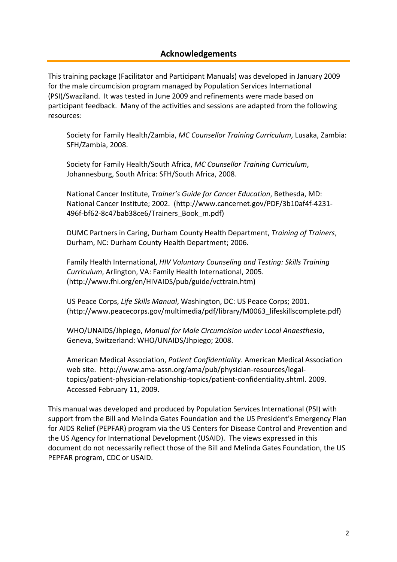### **Acknowledgements**

This training package (Facilitator and Participant Manuals) was developed in January 2009 for the male circumcision program managed by Population Services International (PSI)/Swaziland. It was tested in June 2009 and refinements were made based on participant feedback. Many of the activities and sessions are adapted from the following resources:

Society for Family Health/Zambia, *MC Counsellor Training Curriculum*, Lusaka, Zambia: SFH/Zambia, 2008.

Society for Family Health/South Africa, *MC Counsellor Training Curriculum*, Johannesburg, South Africa: SFH/South Africa, 2008.

National Cancer Institute, *Trainer's Guide for Cancer Education*, Bethesda, MD: National Cancer Institute; 2002. (http://www.cancernet.gov/PDF/3b10af4f‐4231‐ 496f-bf62-8c47bab38ce6/Trainers\_Book\_m.pdf)

DUMC Partners in Caring, Durham County Health Department, *Training of Trainers*, Durham, NC: Durham County Health Department; 2006.

Family Health International, *HIV Voluntary Counseling and Testing: Skills Training Curriculum*, Arlington, VA: Family Health International, 2005. (http://www.fhi.org/en/HIVAIDS/pub/guide/vcttrain.htm)

US Peace Corps, *Life Skills Manual*, Washington, DC: US Peace Corps; 2001. (http://www.peacecorps.gov/multimedia/pdf/library/M0063\_lifeskillscomplete.pdf)

WHO/UNAIDS/Jhpiego, *Manual for Male Circumcision under Local Anaesthesia*, Geneva, Switzerland: WHO/UNAIDS/Jhpiego; 2008.

American Medical Association, *Patient Confidentiality*. American Medical Association web site. http://www.ama‐assn.org/ama/pub/physician‐resources/legal‐ topics/patient‐physician‐relationship‐topics/patient‐confidentiality.shtml. 2009. Accessed February 11, 2009.

This manual was developed and produced by Population Services International (PSI) with support from the Bill and Melinda Gates Foundation and the US President's Emergency Plan for AIDS Relief (PEPFAR) program via the US Centers for Disease Control and Prevention and the US Agency for International Development (USAID). The views expressed in this document do not necessarily reflect those of the Bill and Melinda Gates Foundation, the US PEPFAR program, CDC or USAID.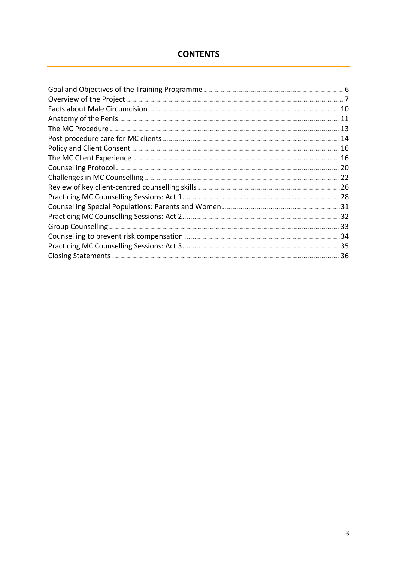# **CONTENTS**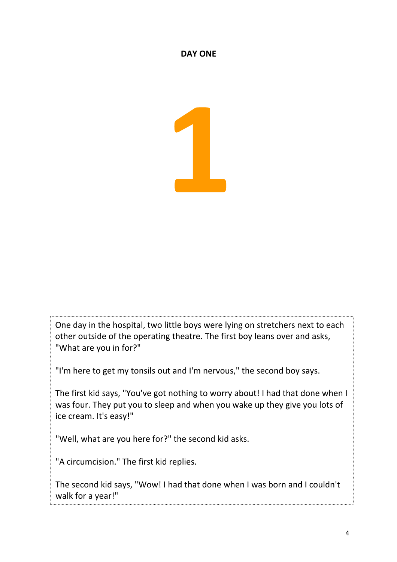### **DAY ONE**

One day in the hospital, two little boys were lying on stretchers next to each other outside of the operating theatre. The first boy leans over and asks, "What are you in for?"

"I'm here to get my tonsils out and I'm nervous," the second boy says.

The first kid says, "You've got nothing to worry about! I had that done when I was four. They put you to sleep and when you wake up they give you lots of ice cream. It's easy!"

"Well, what are you here for?" the second kid asks.

"A circumcision." The first kid replies.

The second kid says, "Wow! I had that done when I was born and I couldn't walk for a year!"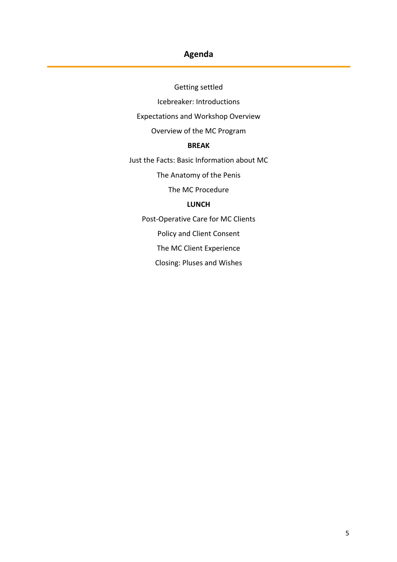# **Agenda**

Getting settled

Icebreaker: Introductions

Expectations and Workshop Overview

Overview of the MC Program

### **BREAK**

Just the Facts: Basic Information about MC

The Anatomy of the Penis

The MC Procedure

### **LUNCH**

Post‐Operative Care for MC Clients

Policy and Client Consent

The MC Client Experience

Closing: Pluses and Wishes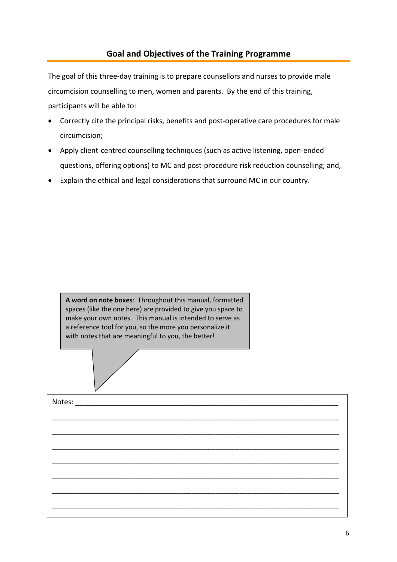<span id="page-5-0"></span>The goal of this three-day training is to prepare counsellors and nurses to provide male circumcision counselling to men, women and parents. By the end of this training, participants will be able to:

- Correctly cite the principal risks, benefits and post‐operative care procedures for male circumcision;
- Apply client‐centred counselling techniques (such as active listening, open‐ended questions, offering options) to MC and post‐procedure risk reduction counselling; and,
- Explain the ethical and legal considerations that surround MC in our country.

**A word on note boxes**: Throughout this manual, formatted spaces (like the one here) are provided to give you space to make your own notes. This manual is intended to serve as a reference tool for you, so the more you personalize it with notes that are meaningful to you, the better!

| Notes:<br><u> 1980 - Jan James James Barnett, martin de la partide de la partide de la partide de la partide de la partide </u> |  |
|---------------------------------------------------------------------------------------------------------------------------------|--|
|                                                                                                                                 |  |
|                                                                                                                                 |  |
|                                                                                                                                 |  |
|                                                                                                                                 |  |
|                                                                                                                                 |  |
|                                                                                                                                 |  |
|                                                                                                                                 |  |
|                                                                                                                                 |  |
|                                                                                                                                 |  |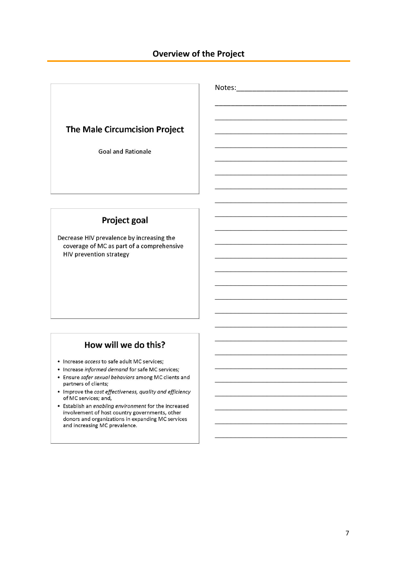### **Overview of the Project**

Notes: and the state of the state of the state of the state of the state of the state of the state of the state of the state of the state of the state of the state of the state of the state of the state of the state of the

# <span id="page-6-0"></span>The Male Circumcision Project

**Goal and Rationale** 

# **Project goal**

Decrease HIV prevalence by increasing the coverage of MC as part of a comprehensive **HIV prevention strategy** 

# How will we do this?

- Increase access to safe adult MC services;
- Increase informed demand for safe MC services;
- Ensure safer sexual behaviors among MC clients and partners of clients;
- Improve the cost effectiveness, quality and efficiency of MC services; and,
- Establish an enabling environment for the increased involvement of host country governments, other donors and organizations in expanding MC services and increasing MC prevalence.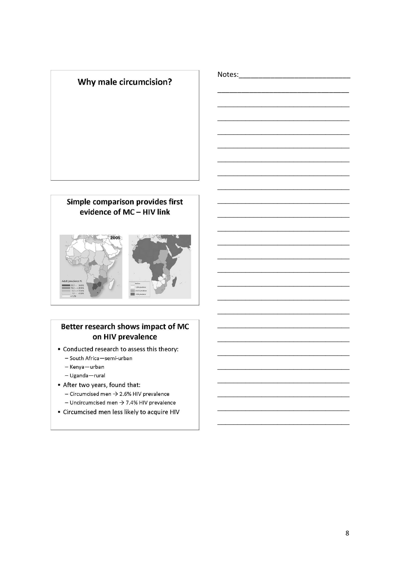

Notes:\_\_\_\_\_\_\_\_\_\_\_\_\_\_\_\_\_\_\_\_\_\_\_\_

# Simple comparison provides first evidence of MC - HIV link 2005



# Better research shows impact of MC on HIV prevalence

- Conducted research to assess this theory:
	- South Africa-semi-urban
	- Kenya-urban
	- Uganda-rural
- After two years, found that: - Circumcised men  $\rightarrow$  2.6% HIV prevalence - Uncircumcised men  $\rightarrow$  7.4% HIV prevalence
- Circumcised men less likely to acquire HIV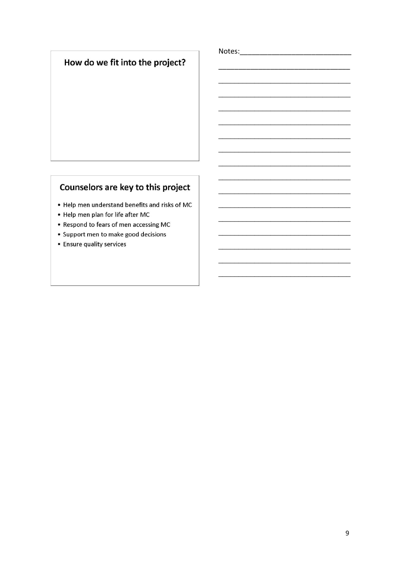# How do we fit into the project?

# Counselors are key to this project

- . Help men understand benefits and risks of MC
- Help men plan for life after MC
- Respond to fears of men accessing MC
- Support men to make good decisions
- Ensure quality services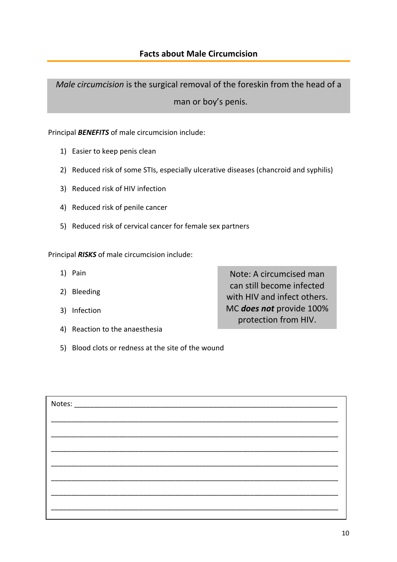<span id="page-9-0"></span>*Male circumcision* is the surgical removal of the foreskin from the head of a man or boy's penis.

### Principal *BENEFITS* of male circumcision include:

- 1) Easier to keep penis clean
- 2) Reduced risk of some STIs, especially ulcerative diseases (chancroid and syphilis)
- 3) Reduced risk of HIV infection
- 4) Reduced risk of penile cancer
- 5) Reduced risk of cervical cancer for female sex partners

Principal *RISKS* of male circumcision include:

- 1) Pain
- 2) Bleeding
- 3) Infection
- 4) Reaction to the anaesthesia

Note: A circumcised man can still become infected with HIV and infect others. MC *does not* provide 100% protection from HIV.

5) Blood clots or redness at the site of the wound

| Notes: |  |
|--------|--|
|        |  |
|        |  |
|        |  |
|        |  |
|        |  |
|        |  |
|        |  |
|        |  |
|        |  |
|        |  |
|        |  |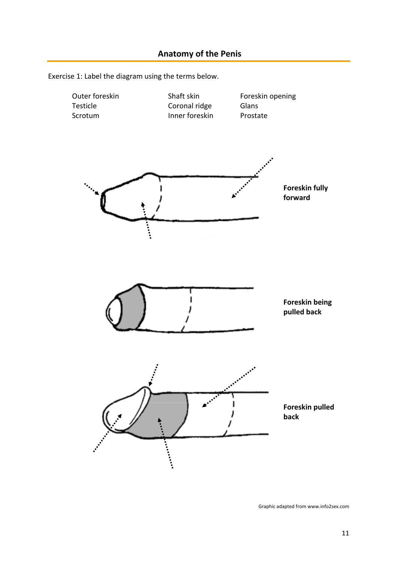<span id="page-10-0"></span>



Graphic adapted from www.info2sex.com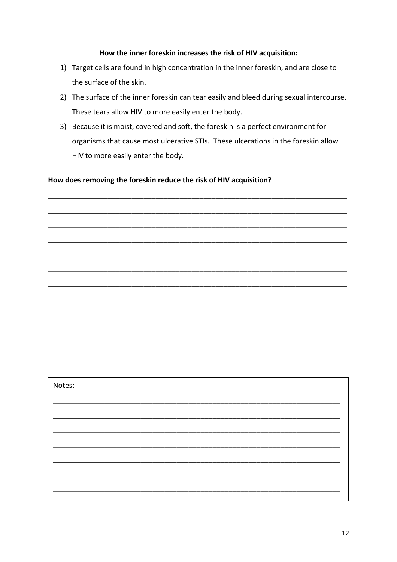#### **How the inner foreskin increases the risk of HIV acquisition:**

- 1) Target cells are found in high concentration in the inner foreskin, and are close to the surface of the skin.
- 2) The surface of the inner foreskin can tear easily and bleed during sexual intercourse. These tears allow HIV to more easily enter the body.
- 3) Because it is moist, covered and soft, the foreskin is a perfect environment for organisms that cause most ulcerative STIs. These ulcerations in the foreskin allow HIV to more easily enter the body.

\_\_\_\_\_\_\_\_\_\_\_\_\_\_\_\_\_\_\_\_\_\_\_\_\_\_\_\_\_\_\_\_\_\_\_\_\_\_\_\_\_\_\_\_\_\_\_\_\_\_\_\_\_\_\_\_\_\_\_\_\_\_\_\_\_\_\_\_\_\_\_\_\_\_\_

\_\_\_\_\_\_\_\_\_\_\_\_\_\_\_\_\_\_\_\_\_\_\_\_\_\_\_\_\_\_\_\_\_\_\_\_\_\_\_\_\_\_\_\_\_\_\_\_\_\_\_\_\_\_\_\_\_\_\_\_\_\_\_\_\_\_\_\_\_\_\_\_\_\_\_

\_\_\_\_\_\_\_\_\_\_\_\_\_\_\_\_\_\_\_\_\_\_\_\_\_\_\_\_\_\_\_\_\_\_\_\_\_\_\_\_\_\_\_\_\_\_\_\_\_\_\_\_\_\_\_\_\_\_\_\_\_\_\_\_\_\_\_\_\_\_\_\_\_\_\_

\_\_\_\_\_\_\_\_\_\_\_\_\_\_\_\_\_\_\_\_\_\_\_\_\_\_\_\_\_\_\_\_\_\_\_\_\_\_\_\_\_\_\_\_\_\_\_\_\_\_\_\_\_\_\_\_\_\_\_\_\_\_\_\_\_\_\_\_\_\_\_\_\_\_\_

\_\_\_\_\_\_\_\_\_\_\_\_\_\_\_\_\_\_\_\_\_\_\_\_\_\_\_\_\_\_\_\_\_\_\_\_\_\_\_\_\_\_\_\_\_\_\_\_\_\_\_\_\_\_\_\_\_\_\_\_\_\_\_\_\_\_\_\_\_\_\_\_\_\_\_

\_\_\_\_\_\_\_\_\_\_\_\_\_\_\_\_\_\_\_\_\_\_\_\_\_\_\_\_\_\_\_\_\_\_\_\_\_\_\_\_\_\_\_\_\_\_\_\_\_\_\_\_\_\_\_\_\_\_\_\_\_\_\_\_\_\_\_\_\_\_\_\_\_\_\_

\_\_\_\_\_\_\_\_\_\_\_\_\_\_\_\_\_\_\_\_\_\_\_\_\_\_\_\_\_\_\_\_\_\_\_\_\_\_\_\_\_\_\_\_\_\_\_\_\_\_\_\_\_\_\_\_\_\_\_\_\_\_\_\_\_\_\_\_\_\_\_\_\_\_\_

#### **How does removing the foreskin reduce the risk of HIV acquisition?**

| Notes: |  |
|--------|--|
|        |  |
|        |  |
|        |  |
|        |  |
|        |  |
|        |  |
|        |  |
|        |  |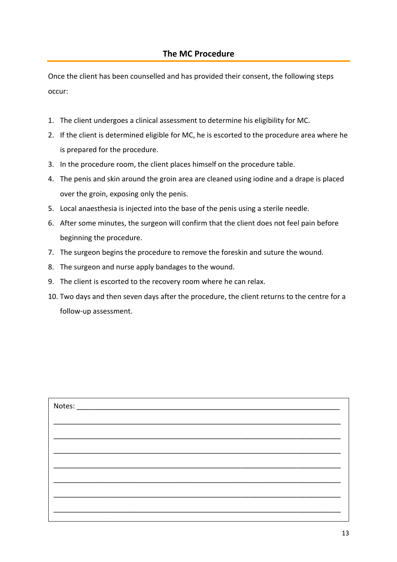<span id="page-12-0"></span>Once the client has been counselled and has provided their consent, the following steps occur:

- 1. The client undergoes a clinical assessment to determine his eligibility for MC.
- 2. If the client is determined eligible for MC, he is escorted to the procedure area where he is prepared for the procedure.
- 3. In the procedure room, the client places himself on the procedure table.
- 4. The penis and skin around the groin area are cleaned using iodine and a drape is placed over the groin, exposing only the penis.
- 5. Local anaesthesia is injected into the base of the penis using a sterile needle.
- 6. After some minutes, the surgeon will confirm that the client does not feel pain before beginning the procedure.
- 7. The surgeon begins the procedure to remove the foreskin and suture the wound.
- 8. The surgeon and nurse apply bandages to the wound.
- 9. The client is escorted to the recovery room where he can relax.
- 10. Two days and then seven days after the procedure, the client returns to the centre for a follow‐up assessment.

| Notes: |  |
|--------|--|
|        |  |
|        |  |
|        |  |
|        |  |
|        |  |
|        |  |
|        |  |
|        |  |
|        |  |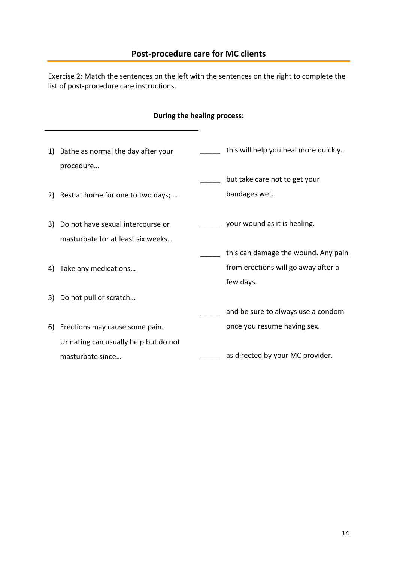# **Post‐procedure care for MC clients**

<span id="page-13-0"></span>Exercise 2: Match the sentences on the left with the sentences on the right to complete the list of post‐procedure care instructions.

### **During the healing process:**

| 1)  | Bathe as normal the day after your    | this will help you heal more quickly. |
|-----|---------------------------------------|---------------------------------------|
|     | procedure                             |                                       |
|     |                                       | but take care not to get your         |
| 2)  | Rest at home for one to two days;     | bandages wet.                         |
| 3). | Do not have sexual intercourse or     | your wound as it is healing.          |
|     | masturbate for at least six weeks     |                                       |
|     |                                       | this can damage the wound. Any pain   |
| 4)  | Take any medications                  | from erections will go away after a   |
|     |                                       | few days.                             |
| 5)  | Do not pull or scratch                |                                       |
|     |                                       | and be sure to always use a condom    |
| 6)  | Erections may cause some pain.        | once you resume having sex.           |
|     | Urinating can usually help but do not |                                       |
|     | masturbate since                      | as directed by your MC provider.      |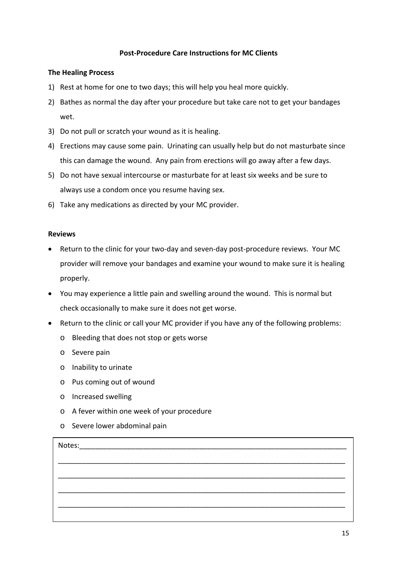#### **Post‐Procedure Care Instructions for MC Clients**

#### **The Healing Process**

- 1) Rest at home for one to two days; this will help you heal more quickly.
- 2) Bathes as normal the day after your procedure but take care not to get your bandages wet.
- 3) Do not pull or scratch your wound as it is healing.
- 4) Erections may cause some pain. Urinating can usually help but do not masturbate since this can damage the wound. Any pain from erections will go away after a few days.
- 5) Do not have sexual intercourse or masturbate for at least six weeks and be sure to always use a condom once you resume having sex.
- 6) Take any medications as directed by your MC provider.

#### **Reviews**

- Return to the clinic for your two-day and seven-day post-procedure reviews. Your MC provider will remove your bandages and examine your wound to make sure it is healing properly.
- You may experience a little pain and swelling around the wound. This is normal but check occasionally to make sure it does not get worse.
- Return to the clinic or call your MC provider if you have any of the following problems:
	- o Bleeding that does not stop or gets worse
	- o Severe pain
	- o Inability to urinate
	- o Pus coming out of wound
	- o Increased swelling
	- o A fever within one week of your procedure
	- o Severe lower abdominal pain

| Notes: |  |
|--------|--|
|        |  |
|        |  |
|        |  |
|        |  |
|        |  |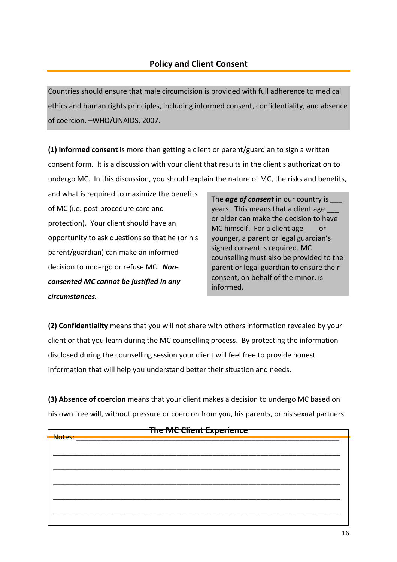<span id="page-15-0"></span>Countries should ensure that male circumcision is provided with full adherence to medical ethics and human rights principles, including informed consent, confidentiality, and absence of coercion. –WHO/UNAIDS, 2007.

**(1) Informed consent** is more than getting a client or parent/guardian to sign a written consent form. It is a discussion with your client that results in the client's authorization to undergo MC. In this discussion, you should explain the nature of MC, the risks and benefits,

and what is required to maximize the benefits of MC (i.e. post‐procedure care and protection). Your client should have an opportunity to ask questions so that he (or his parent/guardian) can make an informed decision to undergo or refuse MC. *Non‐ consented MC cannot be justified in any circumstances.*

The *age of consent* in our country is \_\_\_ years. This means that a client age or older can make the decision to have MC himself. For a client age or younger, a parent or legal guardian's signed consent is required. MC counselling must also be provided to the parent or legal guardian to ensure their consent, on behalf of the minor, is informed.

**(2) Confidentiality** means that you will not share with others information revealed by your client or that you learn during the MC counselling process. By protecting the information disclosed during the counselling session your client will feel free to provide honest information that will help you understand better their situation and needs.

**(3) Absence of coercion** means that your client makes a decision to undergo MC based on his own free will, without pressure or coercion from you, his parents, or his sexual partners.

| The MC Client Experience<br>Notes: |  |  |  |  |
|------------------------------------|--|--|--|--|
|                                    |  |  |  |  |
|                                    |  |  |  |  |
|                                    |  |  |  |  |
|                                    |  |  |  |  |
|                                    |  |  |  |  |
|                                    |  |  |  |  |
|                                    |  |  |  |  |
|                                    |  |  |  |  |
|                                    |  |  |  |  |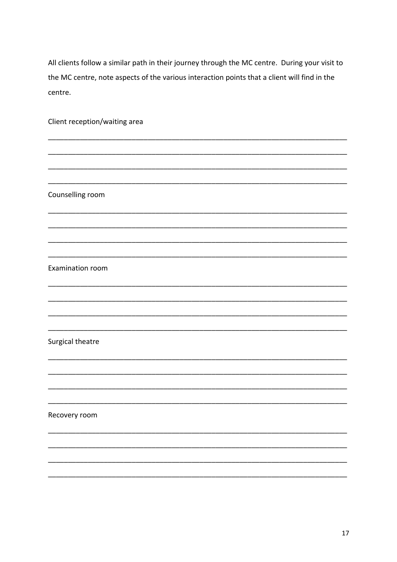All clients follow a similar path in their journey through the MC centre. During your visit to the MC centre, note aspects of the various interaction points that a client will find in the centre.

Client reception/waiting area

Counselling room

Examination room

Surgical theatre

Recovery room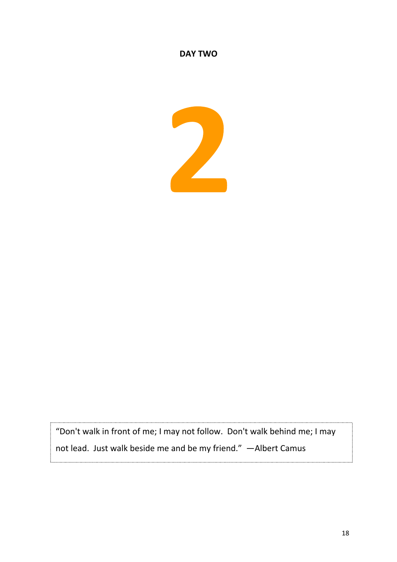## **DAY TWO**



"Don't walk in front of me; I may not follow. Don't walk behind me; I may not lead. Just walk beside me and be my friend." —Albert Camus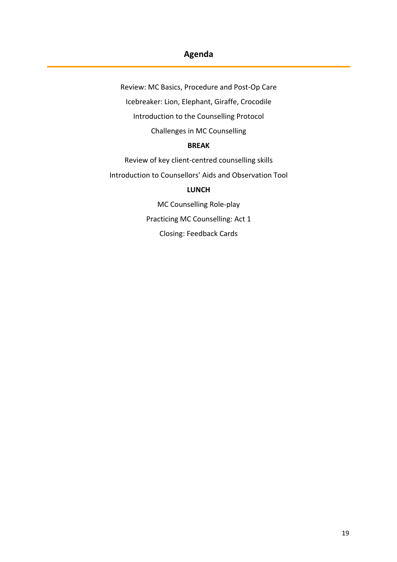# **Agenda**

Review: MC Basics, Procedure and Post‐Op Care Icebreaker: Lion, Elephant, Giraffe, Crocodile Introduction to the Counselling Protocol Challenges in MC Counselling **BREAK** Review of key client‐centred counselling skills Introduction to Counsellors' Aids and Observation Tool **LUNCH** MC Counselling Role‐play Practicing MC Counselling: Act 1 Closing: Feedback Cards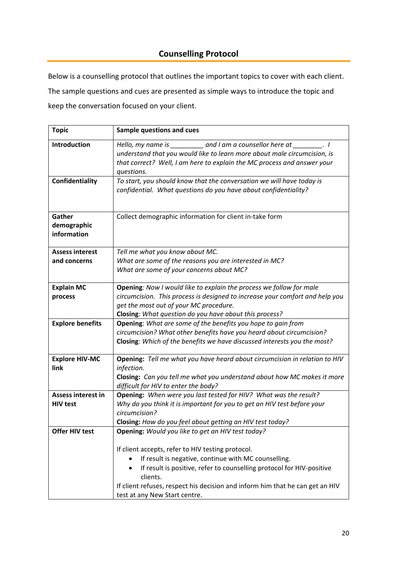# **Counselling Protocol**

<span id="page-19-0"></span>Below is a counselling protocol that outlines the important topics to cover with each client. The sample questions and cues are presented as simple ways to introduce the topic and keep the conversation focused on your client.

| <b>Topic</b>                                 | <b>Sample questions and cues</b>                                                                                                                                                                                                                                                                                                                                                   |  |  |
|----------------------------------------------|------------------------------------------------------------------------------------------------------------------------------------------------------------------------------------------------------------------------------------------------------------------------------------------------------------------------------------------------------------------------------------|--|--|
| Introduction                                 | Hello, my name is ____________ and I am a counsellor here at ___________. I<br>understand that you would like to learn more about male circumcision, is<br>that correct? Well, I am here to explain the MC process and answer your<br>questions.                                                                                                                                   |  |  |
| Confidentiality                              | To start, you should know that the conversation we will have today is<br>confidential. What questions do you have about confidentiality?                                                                                                                                                                                                                                           |  |  |
| Gather<br>demographic<br>information         | Collect demographic information for client in-take form                                                                                                                                                                                                                                                                                                                            |  |  |
| <b>Assess interest</b><br>and concerns       | Tell me what you know about MC.<br>What are some of the reasons you are interested in MC?<br>What are some of your concerns about MC?                                                                                                                                                                                                                                              |  |  |
| <b>Explain MC</b><br>process                 | Opening: Now I would like to explain the process we follow for male<br>circumcision. This process is designed to increase your comfort and help you<br>get the most out of your MC procedure.<br>Closing: What question do you have about this process?                                                                                                                            |  |  |
| <b>Explore benefits</b>                      | Opening: What are some of the benefits you hope to gain from<br>circumcision? What other benefits have you heard about circumcision?<br>Closing: Which of the benefits we have discussed interests you the most?                                                                                                                                                                   |  |  |
| <b>Explore HIV-MC</b><br>link                | Opening: Tell me what you have heard about circumcision in relation to HIV<br>infection.<br>Closing: Can you tell me what you understand about how MC makes it more<br>difficult for HIV to enter the body?                                                                                                                                                                        |  |  |
| <b>Assess interest in</b><br><b>HIV test</b> | Opening: When were you last tested for HIV? What was the result?<br>Why do you think it is important for you to get an HIV test before your<br>circumcision?<br>Closing: How do you feel about getting an HIV test today?                                                                                                                                                          |  |  |
| <b>Offer HIV test</b>                        | Opening: Would you like to get an HIV test today?<br>If client accepts, refer to HIV testing protocol.<br>If result is negative, continue with MC counselling.<br>If result is positive, refer to counselling protocol for HIV-positive<br>$\bullet$<br>clients.<br>If client refuses, respect his decision and inform him that he can get an HIV<br>test at any New Start centre. |  |  |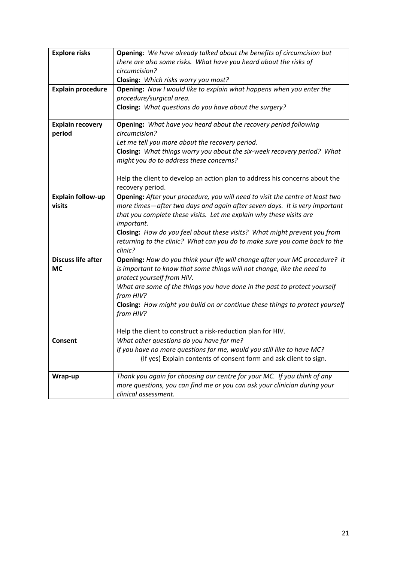| <b>Explore risks</b>      | Opening: We have already talked about the benefits of circumcision but        |  |  |  |
|---------------------------|-------------------------------------------------------------------------------|--|--|--|
|                           | there are also some risks. What have you heard about the risks of             |  |  |  |
|                           | circumcision?                                                                 |  |  |  |
|                           | Closing: Which risks worry you most?                                          |  |  |  |
| <b>Explain procedure</b>  | Opening: Now I would like to explain what happens when you enter the          |  |  |  |
|                           | procedure/surgical area.                                                      |  |  |  |
|                           | Closing: What questions do you have about the surgery?                        |  |  |  |
|                           |                                                                               |  |  |  |
| <b>Explain recovery</b>   | Opening: What have you heard about the recovery period following              |  |  |  |
| period                    | circumcision?                                                                 |  |  |  |
|                           | Let me tell you more about the recovery period.                               |  |  |  |
|                           | Closing: What things worry you about the six-week recovery period? What       |  |  |  |
|                           | might you do to address these concerns?                                       |  |  |  |
|                           |                                                                               |  |  |  |
|                           | Help the client to develop an action plan to address his concerns about the   |  |  |  |
|                           | recovery period.                                                              |  |  |  |
| <b>Explain follow-up</b>  | Opening: After your procedure, you will need to visit the centre at least two |  |  |  |
| visits                    | more times-after two days and again after seven days. It is very important    |  |  |  |
|                           | that you complete these visits. Let me explain why these visits are           |  |  |  |
|                           | important.                                                                    |  |  |  |
|                           | Closing: How do you feel about these visits? What might prevent you from      |  |  |  |
|                           | returning to the clinic? What can you do to make sure you come back to the    |  |  |  |
|                           | clinic?                                                                       |  |  |  |
| <b>Discuss life after</b> | Opening: How do you think your life will change after your MC procedure? It   |  |  |  |
| МC                        | is important to know that some things will not change, like the need to       |  |  |  |
|                           | protect yourself from HIV.                                                    |  |  |  |
|                           | What are some of the things you have done in the past to protect yourself     |  |  |  |
|                           | from HIV?                                                                     |  |  |  |
|                           | Closing: How might you build on or continue these things to protect yourself  |  |  |  |
|                           | from HIV?                                                                     |  |  |  |
|                           |                                                                               |  |  |  |
|                           | Help the client to construct a risk-reduction plan for HIV.                   |  |  |  |
| Consent                   | What other questions do you have for me?                                      |  |  |  |
|                           | If you have no more questions for me, would you still like to have MC?        |  |  |  |
|                           | (If yes) Explain contents of consent form and ask client to sign.             |  |  |  |
|                           |                                                                               |  |  |  |
| Wrap-up                   | Thank you again for choosing our centre for your MC. If you think of any      |  |  |  |
|                           | more questions, you can find me or you can ask your clinician during your     |  |  |  |
|                           | clinical assessment.                                                          |  |  |  |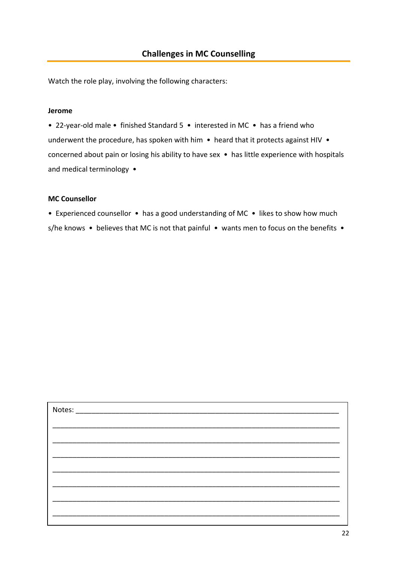<span id="page-21-0"></span>Watch the role play, involving the following characters:

#### **Jerome**

• 22‐year‐old male • finished Standard 5 • interested in MC • has a friend who underwent the procedure, has spoken with him • heard that it protects against HIV • concerned about pain or losing his ability to have sex • has little experience with hospitals and medical terminology •

#### **MC Counsellor**

• Experienced counsellor • has a good understanding of MC • likes to show how much

s/he knows • believes that MC is not that painful • wants men to focus on the benefits •

| Notes: |  |  |
|--------|--|--|
|        |  |  |
|        |  |  |
|        |  |  |
|        |  |  |
|        |  |  |
|        |  |  |
|        |  |  |
|        |  |  |
|        |  |  |
|        |  |  |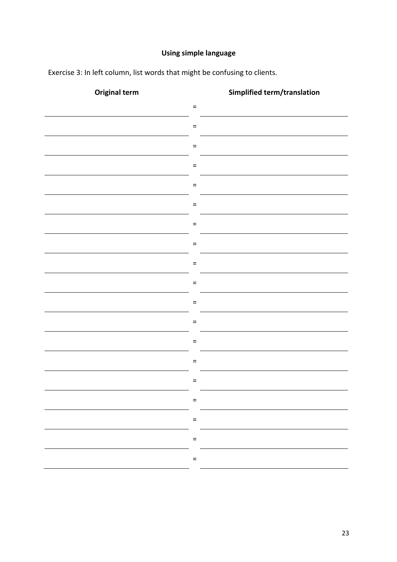# **Using simple language**

Exercise 3: In left column, list words that might be confusing to clients.

| <b>Original term</b> | Simplified term/translation |
|----------------------|-----------------------------|
|                      | $\equiv$                    |
|                      | $\equiv$                    |
|                      | $\equiv$                    |
|                      | $\equiv$                    |
|                      | $\equiv$                    |
|                      | $\equiv$                    |
|                      | $\equiv$                    |
|                      | $\equiv$                    |
|                      |                             |
|                      | $=$                         |
|                      | $=$                         |
|                      | $\equiv$                    |
|                      | $=$                         |
|                      | $\equiv$                    |
|                      | $=$                         |
|                      | $\equiv$                    |
|                      | $=$                         |
|                      | $\equiv$                    |
|                      | $\equiv$                    |
|                      |                             |
|                      | $\equiv$                    |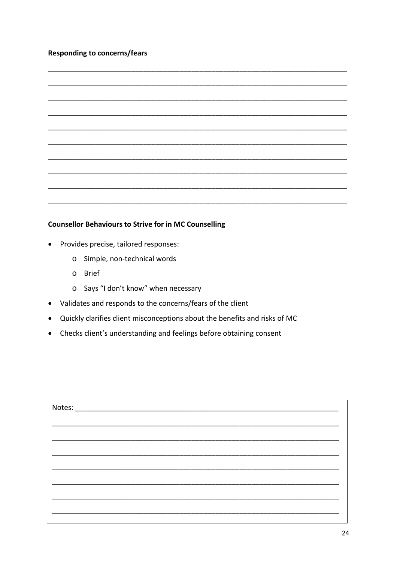### **Responding to concerns/fears**

#### **Counsellor Behaviours to Strive for in MC Counselling**

- Provides precise, tailored responses:
	- o Simple, non-technical words
	- o Brief
	- o Says "I don't know" when necessary
- Validates and responds to the concerns/fears of the client
- Quickly clarifies client misconceptions about the benefits and risks of MC
- Checks client's understanding and feelings before obtaining consent

| Notes: |  |
|--------|--|
|        |  |
|        |  |
|        |  |
|        |  |
|        |  |
|        |  |
|        |  |
|        |  |
|        |  |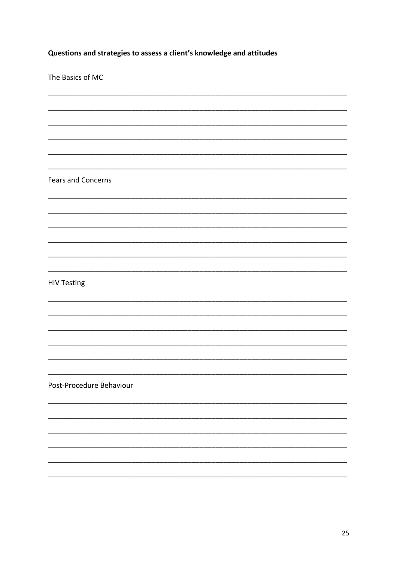Questions and strategies to assess a client's knowledge and attitudes

The Basics of MC

**Fears and Concerns** 

**HIV Testing** 

Post-Procedure Behaviour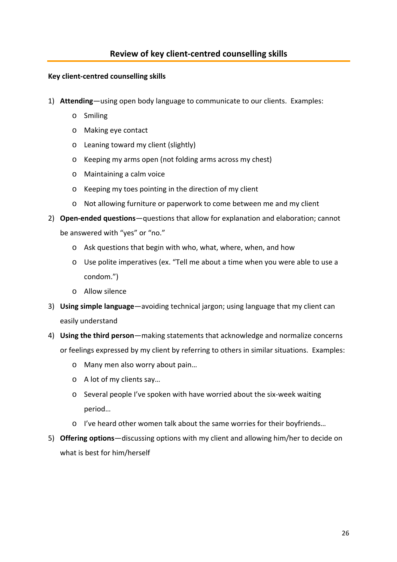### <span id="page-25-0"></span>**Key client‐centred counselling skills**

- 1) **Attending**—using open body language to communicate to our clients. Examples:
	- o Smiling
	- o Making eye contact
	- o Leaning toward my client (slightly)
	- o Keeping my arms open (not folding arms across my chest)
	- o Maintaining a calm voice
	- o Keeping my toes pointing in the direction of my client
	- o Not allowing furniture or paperwork to come between me and my client
- 2) **Open-ended questions**—questions that allow for explanation and elaboration; cannot be answered with "yes" or "no."
	- o Ask questions that begin with who, what, where, when, and how
	- o Use polite imperatives (ex. "Tell me about a time when you were able to use a condom.")
	- o Allow silence
- 3) **Using simple language**—avoiding technical jargon; using language that my client can easily understand
- 4) **Using the third person**—making statements that acknowledge and normalize concerns or feelings expressed by my client by referring to others in similar situations. Examples:
	- o Many men also worry about pain…
	- o A lot of my clients say…
	- o Several people I've spoken with have worried about the six‐week waiting period…
	- o I've heard other women talk about the same worries for their boyfriends…
- 5) **Offering options**—discussing options with my client and allowing him/her to decide on what is best for him/herself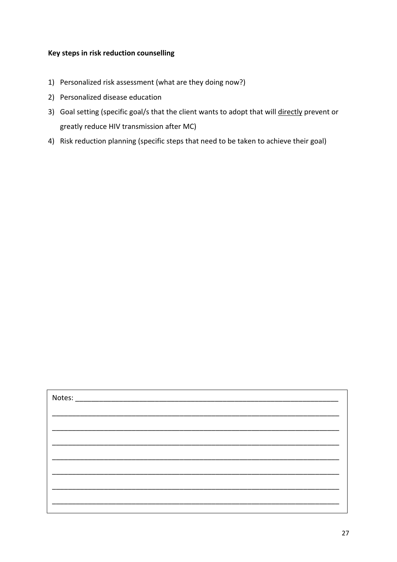### **Key steps in risk reduction counselling**

- 1) Personalized risk assessment (what are they doing now?)
- 2) Personalized disease education
- 3) Goal setting (specific goal/s that the client wants to adopt that will directly prevent or greatly reduce HIV transmission after MC)
- 4) Risk reduction planning (specific steps that need to be taken to achieve their goal)

| Notes: |  |
|--------|--|
|        |  |
|        |  |
|        |  |
|        |  |
|        |  |
|        |  |
|        |  |
|        |  |
|        |  |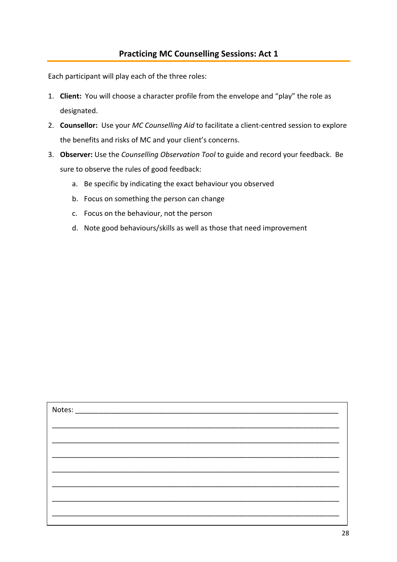<span id="page-27-0"></span>Each participant will play each of the three roles:

- 1. **Client:** You will choose a character profile from the envelope and "play" the role as designated.
- 2. **Counsellor:** Use your *MC Counselling Aid* to facilitate a client‐centred session to explore the benefits and risks of MC and your client's concerns.
- 3. **Observer:** Use the *Counselling Observation Tool* to guide and record your feedback. Be sure to observe the rules of good feedback:
	- a. Be specific by indicating the exact behaviour you observed
	- b. Focus on something the person can change
	- c. Focus on the behaviour, not the person
	- d. Note good behaviours/skills as well as those that need improvement

| Notes: |  |  |  |
|--------|--|--|--|
|        |  |  |  |
|        |  |  |  |
|        |  |  |  |
|        |  |  |  |
|        |  |  |  |
|        |  |  |  |
|        |  |  |  |
|        |  |  |  |
|        |  |  |  |
|        |  |  |  |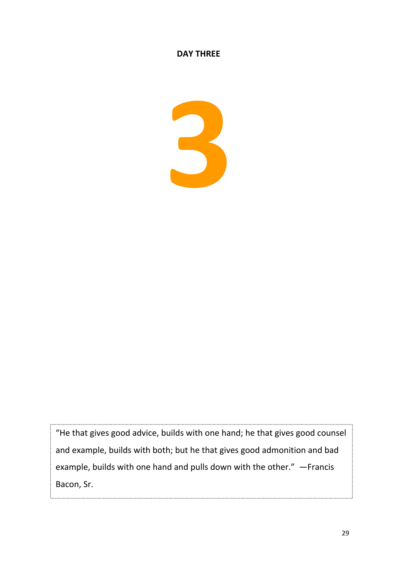## **DAY THREE**



"He that gives good advice, builds with one hand; he that gives good counsel and example, builds with both; but he that gives good admonition and bad example, builds with one hand and pulls down with the other." —Francis Bacon, Sr.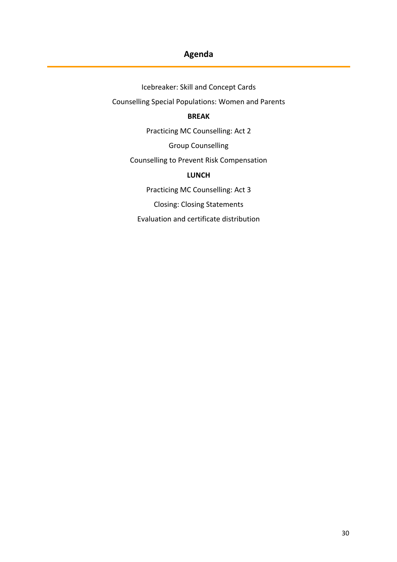# **Agenda**

Icebreaker: Skill and Concept Cards Counselling Special Populations: Women and Parents

## **BREAK**

Practicing MC Counselling: Act 2

Group Counselling

Counselling to Prevent Risk Compensation

#### **LUNCH**

Practicing MC Counselling: Act 3

Closing: Closing Statements

Evaluation and certificate distribution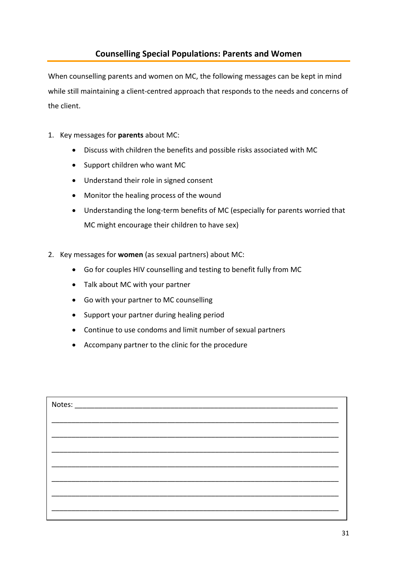## **Counselling Special Populations: Parents and Women**

<span id="page-30-0"></span>When counselling parents and women on MC, the following messages can be kept in mind while still maintaining a client-centred approach that responds to the needs and concerns of the client.

- 1. Key messages for **parents** about MC:
	- Discuss with children the benefits and possible risks associated with MC
	- Support children who want MC
	- Understand their role in signed consent
	- Monitor the healing process of the wound
	- Understanding the long‐term benefits of MC (especially for parents worried that MC might encourage their children to have sex)
- 2. Key messages for **women** (as sexual partners) about MC:
	- Go for couples HIV counselling and testing to benefit fully from MC
	- Talk about MC with your partner
	- Go with your partner to MC counselling
	- Support your partner during healing period
	- Continue to use condoms and limit number of sexual partners
	- Accompany partner to the clinic for the procedure

| Notes: |  |
|--------|--|
|        |  |
|        |  |
|        |  |
|        |  |
|        |  |
|        |  |
|        |  |
|        |  |
|        |  |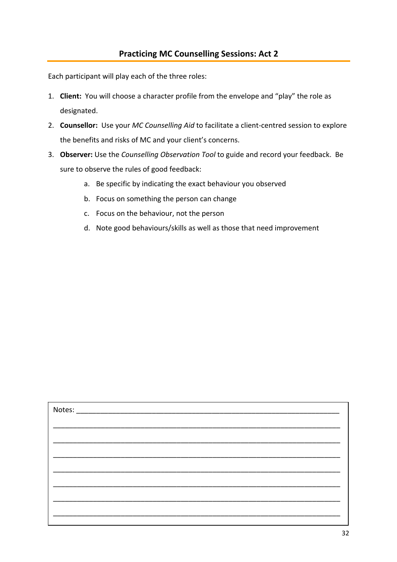<span id="page-31-0"></span>Each participant will play each of the three roles:

- 1. **Client:** You will choose a character profile from the envelope and "play" the role as designated.
- 2. **Counsellor:** Use your *MC Counselling Aid* to facilitate a client‐centred session to explore the benefits and risks of MC and your client's concerns.
- 3. **Observer:** Use the *Counselling Observation Tool* to guide and record your feedback. Be sure to observe the rules of good feedback:
	- a. Be specific by indicating the exact behaviour you observed
	- b. Focus on something the person can change
	- c. Focus on the behaviour, not the person
	- d. Note good behaviours/skills as well as those that need improvement

| Notes: |  |
|--------|--|
|        |  |
|        |  |
|        |  |
|        |  |
|        |  |
|        |  |
|        |  |
|        |  |
|        |  |
|        |  |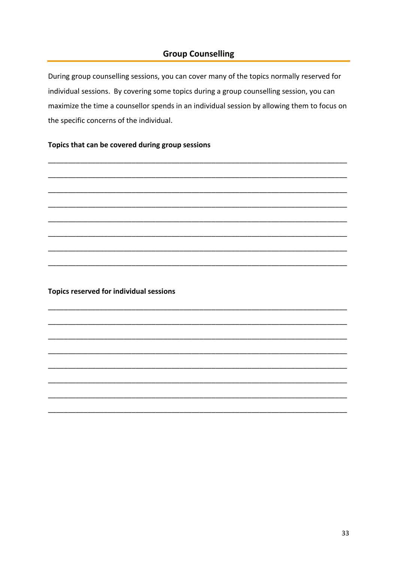## **Group Counselling**

<span id="page-32-0"></span>During group counselling sessions, you can cover many of the topics normally reserved for individual sessions. By covering some topics during a group counselling session, you can maximize the time a counsellor spends in an individual session by allowing them to focus on the specific concerns of the individual.

#### Topics that can be covered during group sessions

Topics reserved for individual sessions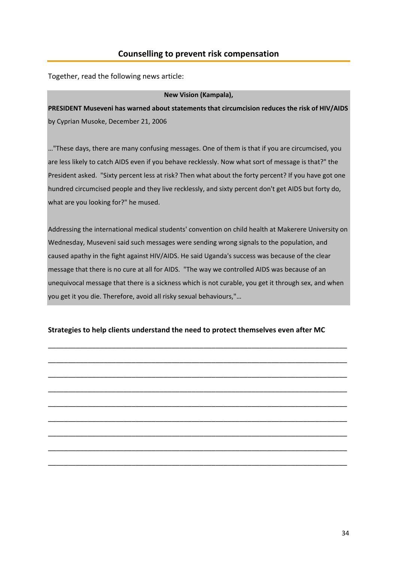### **Counselling to prevent risk compensation**

<span id="page-33-0"></span>Together, read the following news article:

#### **New Vision (Kampala),**

**PRESIDENT Museveni has warned about statements that circumcision reduces the risk of HIV/AIDS** by Cyprian Musoke, December 21, 2006

…"These days, there are many confusing messages. One of them is that if you are circumcised, you are less likely to catch AIDS even if you behave recklessly. Now what sort of message is that?" the President asked. "Sixty percent less at risk? Then what about the forty percent? If you have got one hundred circumcised people and they live recklessly, and sixty percent don't get AIDS but forty do, what are you looking for?" he mused.

Addressing the international medical students' convention on child health at Makerere University on Wednesday, Museveni said such messages were sending wrong signals to the population, and caused apathy in the fight against HIV/AIDS. He said Uganda's success was because of the clear message that there is no cure at all for AIDS. "The way we controlled AIDS was because of an unequivocal message that there is a sickness which is not curable, you get it through sex, and when you get it you die. Therefore, avoid all risky sexual behaviours,"…

#### **Strategies to help clients understand the need to protect themselves even after MC**

\_\_\_\_\_\_\_\_\_\_\_\_\_\_\_\_\_\_\_\_\_\_\_\_\_\_\_\_\_\_\_\_\_\_\_\_\_\_\_\_\_\_\_\_\_\_\_\_\_\_\_\_\_\_\_\_\_\_\_\_\_\_\_\_\_\_\_\_\_\_\_\_\_\_\_

\_\_\_\_\_\_\_\_\_\_\_\_\_\_\_\_\_\_\_\_\_\_\_\_\_\_\_\_\_\_\_\_\_\_\_\_\_\_\_\_\_\_\_\_\_\_\_\_\_\_\_\_\_\_\_\_\_\_\_\_\_\_\_\_\_\_\_\_\_\_\_\_\_\_\_

\_\_\_\_\_\_\_\_\_\_\_\_\_\_\_\_\_\_\_\_\_\_\_\_\_\_\_\_\_\_\_\_\_\_\_\_\_\_\_\_\_\_\_\_\_\_\_\_\_\_\_\_\_\_\_\_\_\_\_\_\_\_\_\_\_\_\_\_\_\_\_\_\_\_\_

\_\_\_\_\_\_\_\_\_\_\_\_\_\_\_\_\_\_\_\_\_\_\_\_\_\_\_\_\_\_\_\_\_\_\_\_\_\_\_\_\_\_\_\_\_\_\_\_\_\_\_\_\_\_\_\_\_\_\_\_\_\_\_\_\_\_\_\_\_\_\_\_\_\_\_

\_\_\_\_\_\_\_\_\_\_\_\_\_\_\_\_\_\_\_\_\_\_\_\_\_\_\_\_\_\_\_\_\_\_\_\_\_\_\_\_\_\_\_\_\_\_\_\_\_\_\_\_\_\_\_\_\_\_\_\_\_\_\_\_\_\_\_\_\_\_\_\_\_\_\_

\_\_\_\_\_\_\_\_\_\_\_\_\_\_\_\_\_\_\_\_\_\_\_\_\_\_\_\_\_\_\_\_\_\_\_\_\_\_\_\_\_\_\_\_\_\_\_\_\_\_\_\_\_\_\_\_\_\_\_\_\_\_\_\_\_\_\_\_\_\_\_\_\_\_\_

\_\_\_\_\_\_\_\_\_\_\_\_\_\_\_\_\_\_\_\_\_\_\_\_\_\_\_\_\_\_\_\_\_\_\_\_\_\_\_\_\_\_\_\_\_\_\_\_\_\_\_\_\_\_\_\_\_\_\_\_\_\_\_\_\_\_\_\_\_\_\_\_\_\_\_

\_\_\_\_\_\_\_\_\_\_\_\_\_\_\_\_\_\_\_\_\_\_\_\_\_\_\_\_\_\_\_\_\_\_\_\_\_\_\_\_\_\_\_\_\_\_\_\_\_\_\_\_\_\_\_\_\_\_\_\_\_\_\_\_\_\_\_\_\_\_\_\_\_\_\_

\_\_\_\_\_\_\_\_\_\_\_\_\_\_\_\_\_\_\_\_\_\_\_\_\_\_\_\_\_\_\_\_\_\_\_\_\_\_\_\_\_\_\_\_\_\_\_\_\_\_\_\_\_\_\_\_\_\_\_\_\_\_\_\_\_\_\_\_\_\_\_\_\_\_\_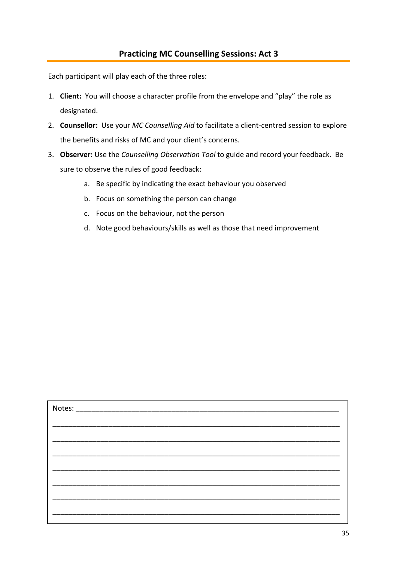<span id="page-34-0"></span>Each participant will play each of the three roles:

- 1. **Client:** You will choose a character profile from the envelope and "play" the role as designated.
- 2. **Counsellor:** Use your *MC Counselling Aid* to facilitate a client‐centred session to explore the benefits and risks of MC and your client's concerns.
- 3. **Observer:** Use the *Counselling Observation Tool* to guide and record your feedback. Be sure to observe the rules of good feedback:
	- a. Be specific by indicating the exact behaviour you observed
	- b. Focus on something the person can change
	- c. Focus on the behaviour, not the person
	- d. Note good behaviours/skills as well as those that need improvement

| Notes: |  |
|--------|--|
|        |  |
|        |  |
|        |  |
|        |  |
|        |  |
|        |  |
|        |  |
|        |  |
|        |  |
|        |  |
|        |  |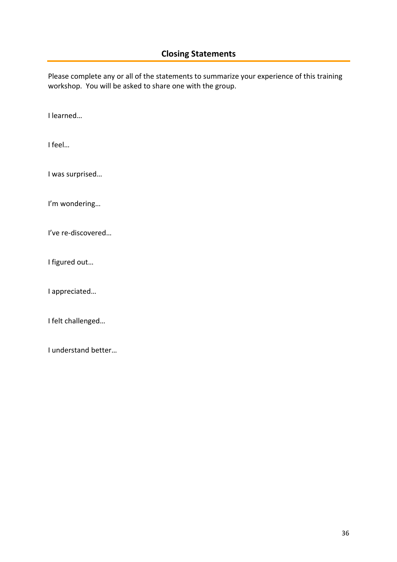<span id="page-35-0"></span>Please complete any or all of the statements to summarize your experience of this training workshop. You will be asked to share one with the group.

I learned…

I feel…

I was surprised…

I'm wondering…

I've re‐discovered…

I figured out…

I appreciated…

I felt challenged…

I understand better…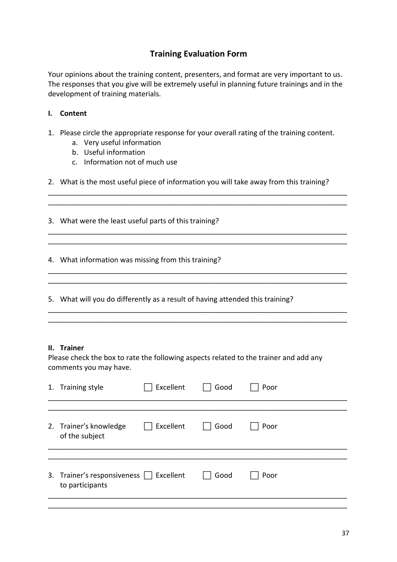# **Training Evaluation Form**

Your opinions about the training content, presenters, and format are very important to us. The responses that you give will be extremely useful in planning future trainings and in the development of training materials.

### **I. Content**

- 1. Please circle the appropriate response for your overall rating of the training content.
	- a. Very useful information
	- b. Useful information
	- c. Information not of much use
- 2. What is the most useful piece of information you will take away from this training?

\_\_\_\_\_\_\_\_\_\_\_\_\_\_\_\_\_\_\_\_\_\_\_\_\_\_\_\_\_\_\_\_\_\_\_\_\_\_\_\_\_\_\_\_\_\_\_\_\_\_\_\_\_\_\_\_\_\_\_\_\_\_\_\_\_\_\_\_\_\_\_\_\_\_\_ \_\_\_\_\_\_\_\_\_\_\_\_\_\_\_\_\_\_\_\_\_\_\_\_\_\_\_\_\_\_\_\_\_\_\_\_\_\_\_\_\_\_\_\_\_\_\_\_\_\_\_\_\_\_\_\_\_\_\_\_\_\_\_\_\_\_\_\_\_\_\_\_\_\_\_

\_\_\_\_\_\_\_\_\_\_\_\_\_\_\_\_\_\_\_\_\_\_\_\_\_\_\_\_\_\_\_\_\_\_\_\_\_\_\_\_\_\_\_\_\_\_\_\_\_\_\_\_\_\_\_\_\_\_\_\_\_\_\_\_\_\_\_\_\_\_\_\_\_\_\_ \_\_\_\_\_\_\_\_\_\_\_\_\_\_\_\_\_\_\_\_\_\_\_\_\_\_\_\_\_\_\_\_\_\_\_\_\_\_\_\_\_\_\_\_\_\_\_\_\_\_\_\_\_\_\_\_\_\_\_\_\_\_\_\_\_\_\_\_\_\_\_\_\_\_\_

\_\_\_\_\_\_\_\_\_\_\_\_\_\_\_\_\_\_\_\_\_\_\_\_\_\_\_\_\_\_\_\_\_\_\_\_\_\_\_\_\_\_\_\_\_\_\_\_\_\_\_\_\_\_\_\_\_\_\_\_\_\_\_\_\_\_\_\_\_\_\_\_\_\_\_ \_\_\_\_\_\_\_\_\_\_\_\_\_\_\_\_\_\_\_\_\_\_\_\_\_\_\_\_\_\_\_\_\_\_\_\_\_\_\_\_\_\_\_\_\_\_\_\_\_\_\_\_\_\_\_\_\_\_\_\_\_\_\_\_\_\_\_\_\_\_\_\_\_\_\_

\_\_\_\_\_\_\_\_\_\_\_\_\_\_\_\_\_\_\_\_\_\_\_\_\_\_\_\_\_\_\_\_\_\_\_\_\_\_\_\_\_\_\_\_\_\_\_\_\_\_\_\_\_\_\_\_\_\_\_\_\_\_\_\_\_\_\_\_\_\_\_\_\_\_\_ \_\_\_\_\_\_\_\_\_\_\_\_\_\_\_\_\_\_\_\_\_\_\_\_\_\_\_\_\_\_\_\_\_\_\_\_\_\_\_\_\_\_\_\_\_\_\_\_\_\_\_\_\_\_\_\_\_\_\_\_\_\_\_\_\_\_\_\_\_\_\_\_\_\_\_

3. What were the least useful parts of this training?

4. What information was missing from this training?

5. What will you do differently as a result of having attended this training?

#### **II. Trainer**

Please check the box to rate the following aspects related to the trainer and add any comments you may have.

| 1. Training style                                          | Excellent | Good | Poor |
|------------------------------------------------------------|-----------|------|------|
| 2. Trainer's knowledge<br>of the subject                   | Excellent | Good | Poor |
| 3. Trainer's responsiveness   Excellent<br>to participants |           | Good | Poor |
|                                                            |           |      |      |